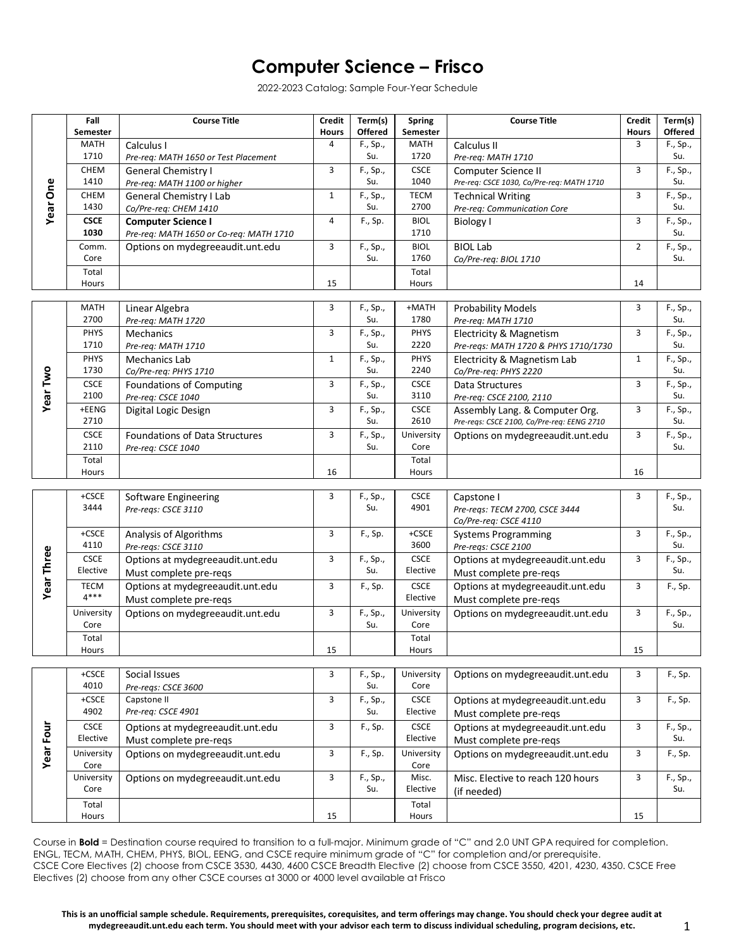## **Computer Science – Frisco**

2022-2023 Catalog: Sample Four-Year Schedule

|                 | Fall                                       | <b>Course Title</b>                           | <b>Credit</b> | Term(s)         | <b>Spring</b>                              | <b>Course Title</b>                               | <b>Credit</b>  | Term(s)         |
|-----------------|--------------------------------------------|-----------------------------------------------|---------------|-----------------|--------------------------------------------|---------------------------------------------------|----------------|-----------------|
| <b>Year One</b> | Semester                                   |                                               | <b>Hours</b>  | <b>Offered</b>  | Semester                                   |                                                   | <b>Hours</b>   | Offered         |
|                 | <b>MATH</b>                                | Calculus I                                    | 4             | F., Sp.,        | <b>MATH</b>                                | Calculus II                                       | 3              | F., Sp.,        |
|                 | 1710                                       | Pre-req: MATH 1650 or Test Placement          |               | Su.             | 1720                                       | Pre-req: MATH 1710                                |                | Su.             |
|                 | CHEM                                       | <b>General Chemistry I</b>                    | 3             | F., Sp.,        | <b>CSCE</b>                                | Computer Science II                               | 3              | F., Sp.,        |
|                 | 1410                                       | Pre-req: MATH 1100 or higher                  |               | Su.             | 1040                                       | Pre-req: CSCE 1030, Co/Pre-req: MATH 1710         |                | Su.             |
|                 | CHEM                                       | <b>General Chemistry I Lab</b>                | $\mathbf{1}$  | F., Sp.,        | <b>TECM</b>                                | <b>Technical Writing</b>                          | 3              | F., Sp.,        |
|                 | 1430                                       | Co/Pre-req: CHEM 1410                         |               | Su.             | 2700                                       | Pre-req: Communication Core                       |                | Su.             |
|                 | <b>CSCE</b>                                | <b>Computer Science I</b>                     | 4             | F., Sp.         | <b>BIOL</b>                                | <b>Biology I</b>                                  | 3              | F., Sp.,        |
|                 | 1030                                       | Pre-req: MATH 1650 or Co-req: MATH 1710       |               |                 | 1710                                       |                                                   |                | Su.             |
|                 | Comm.                                      | Options on mydegreeaudit.unt.edu              | 3             | F., Sp.,        | <b>BIOL</b>                                | <b>BIOL Lab</b>                                   | $\overline{2}$ | F., Sp.,        |
|                 | Core                                       |                                               |               | Su.             | 1760                                       | Co/Pre-reg: BIOL 1710                             |                | Su.             |
|                 | Total                                      |                                               |               |                 | Total                                      |                                                   |                |                 |
|                 | Hours                                      |                                               | 15            |                 | Hours                                      |                                                   | 14             |                 |
|                 | <b>MATH</b>                                | Linear Algebra                                | 3             | F., Sp.,        | +MATH                                      | <b>Probability Models</b>                         | 3              | F., Sp.,        |
|                 | 2700                                       | Pre-req: MATH 1720                            |               | Su.             | 1780                                       | Pre-req: MATH 1710                                |                | Su.             |
|                 | <b>PHYS</b>                                | Mechanics                                     | 3             | F., Sp.,        | PHYS                                       | <b>Electricity &amp; Magnetism</b>                | 3              | F., Sp.,        |
|                 | 1710                                       | Pre-req: MATH 1710                            |               | Su.             | 2220                                       | Pre-regs: MATH 1720 & PHYS 1710/1730              |                | Su.             |
|                 | PHYS                                       | Mechanics Lab                                 | $\mathbf{1}$  | F., Sp.,        | PHYS                                       | Electricity & Magnetism Lab                       | $\mathbf{1}$   | F., Sp.,        |
|                 | 1730                                       | Co/Pre-req: PHYS 1710                         |               | Su.             | 2240                                       | Co/Pre-req: PHYS 2220                             |                | Su.             |
| <b>Year Two</b> | <b>CSCE</b>                                | Foundations of Computing                      | 3             | F., Sp.,        | <b>CSCE</b>                                | Data Structures                                   | 3              | F., Sp.,        |
|                 | 2100                                       | Pre-reg: CSCE 1040                            |               | Su.             | 3110                                       | Pre-req: CSCE 2100, 2110                          |                | Su.             |
|                 | +EENG                                      | Digital Logic Design                          | 3             | F., Sp.,        | <b>CSCE</b>                                | Assembly Lang. & Computer Org.                    | 3              | F., Sp.,        |
|                 | 2710                                       |                                               |               | Su.             | 2610                                       | Pre-reqs: CSCE 2100, Co/Pre-req: EENG 2710        |                | Su.             |
|                 | <b>CSCE</b>                                | Foundations of Data Structures                | 3             | F., Sp.,        | University                                 | Options on mydegreeaudit.unt.edu                  | 3              | F., Sp.,        |
|                 | 2110                                       | Pre-req: CSCE 1040                            |               | Su.             | Core                                       |                                                   |                | Su.             |
|                 | Total                                      |                                               |               |                 | Total                                      |                                                   |                |                 |
|                 | Hours                                      |                                               | 16            |                 | Hours                                      |                                                   | 16             |                 |
|                 |                                            |                                               |               |                 |                                            |                                                   |                |                 |
|                 | +CSCE<br>3444                              | Software Engineering                          | 3             | F., Sp.,        | <b>CSCE</b>                                | Capstone I                                        | 3              | F., Sp.,        |
|                 |                                            | Pre-reqs: CSCE 3110                           |               | Su.             | 4901                                       | Pre-regs: TECM 2700, CSCE 3444                    |                | Su.             |
|                 | +CSCE                                      |                                               | 3             | F., Sp.         | +CSCE                                      | Co/Pre-req: CSCE 4110                             | 3              | F., Sp.,        |
|                 | 4110                                       | Analysis of Algorithms<br>Pre-regs: CSCE 3110 |               |                 | 3600                                       | <b>Systems Programming</b><br>Pre-reqs: CSCE 2100 |                | Su.             |
| Year Three      | <b>CSCE</b>                                | Options at mydegreeaudit.unt.edu              | 3             | F., Sp.,        | <b>CSCE</b>                                | Options at mydegreeaudit.unt.edu                  | 3              | F., Sp.,        |
|                 | Elective                                   | Must complete pre-regs                        |               | Su.             | Elective                                   | Must complete pre-regs                            |                | Su.             |
|                 | <b>TECM</b>                                | Options at mydegreeaudit.unt.edu              | 3             | F., Sp.         | <b>CSCE</b>                                | Options at mydegreeaudit.unt.edu                  | 3              | F., Sp.         |
|                 | $4***$                                     | Must complete pre-regs                        |               |                 | Elective                                   | Must complete pre-regs                            |                |                 |
|                 |                                            |                                               | 3             |                 |                                            |                                                   | 3              |                 |
|                 | University<br>Core                         | Options on mydegreeaudit.unt.edu              |               | F., Sp.,<br>Su. | University<br>Core                         | Options on mydegreeaudit.unt.edu                  |                | F., Sp.,<br>Su. |
|                 | Total                                      |                                               |               |                 | Total                                      |                                                   |                |                 |
|                 | Hours                                      |                                               | 15            |                 | Hours                                      |                                                   | 15             |                 |
|                 |                                            |                                               |               |                 |                                            |                                                   |                |                 |
|                 | $+CSCE$                                    | Social Issues                                 | 3             | F., Sp.,        | University                                 | Options on mydegreeaudit.unt.edu                  | 3              | F., Sp.         |
| Year Four       | 4010                                       | Pre-regs: CSCE 3600                           |               | Su.             | Core                                       |                                                   |                |                 |
|                 | $+CSCE$                                    | Capstone II                                   | 3             | F., Sp.,        | $\mathsf{C}\mathsf{S}\mathsf{C}\mathsf{E}$ | Options at mydegreeaudit.unt.edu                  | 3              | F., Sp.         |
|                 | 4902                                       | Pre-req: CSCE 4901                            |               | Su.             | Elective                                   | Must complete pre-regs                            |                |                 |
|                 | $\mathsf{C}\mathsf{S}\mathsf{C}\mathsf{E}$ | Options at mydegreeaudit.unt.edu              | 3             | F., Sp.         | $\mathsf{C}\mathsf{S}\mathsf{C}\mathsf{E}$ | Options at mydegreeaudit.unt.edu                  | 3              | F., Sp.,        |
|                 | Elective                                   | Must complete pre-reqs                        |               |                 | Elective                                   | Must complete pre-reqs                            |                | Su.             |
|                 | University                                 | Options on mydegreeaudit.unt.edu              | 3             | F., Sp.         | University                                 | Options on mydegreeaudit.unt.edu                  | 3              | F., Sp.         |
|                 | Core                                       |                                               |               |                 | Core                                       |                                                   |                |                 |
|                 | University                                 | Options on mydegreeaudit.unt.edu              | 3             | F., Sp.,        | Misc.                                      | Misc. Elective to reach 120 hours                 | 3              | F., Sp.,        |
|                 | Core                                       |                                               |               | Su.             | Elective                                   | (if needed)                                       |                | Su.             |
|                 | Total                                      |                                               |               |                 | Total                                      |                                                   |                |                 |
|                 | Hours                                      |                                               | 15            |                 | Hours                                      |                                                   | 15             |                 |

Course in **Bold** = Destination course required to transition to a full-major. Minimum grade of "C" and 2.0 UNT GPA required for completion. ENGL, TECM, MATH, CHEM, PHYS, BIOL, EENG, and CSCE require minimum grade of "C" for completion and/or prerequisite. CSCE Core Electives (2) choose from CSCE 3530, 4430, 4600 CSCE Breadth Elective (2) choose from CSCE 3550, 4201, 4230, 4350. CSCE Free Electives (2) choose from any other CSCE courses at 3000 or 4000 level available at Frisco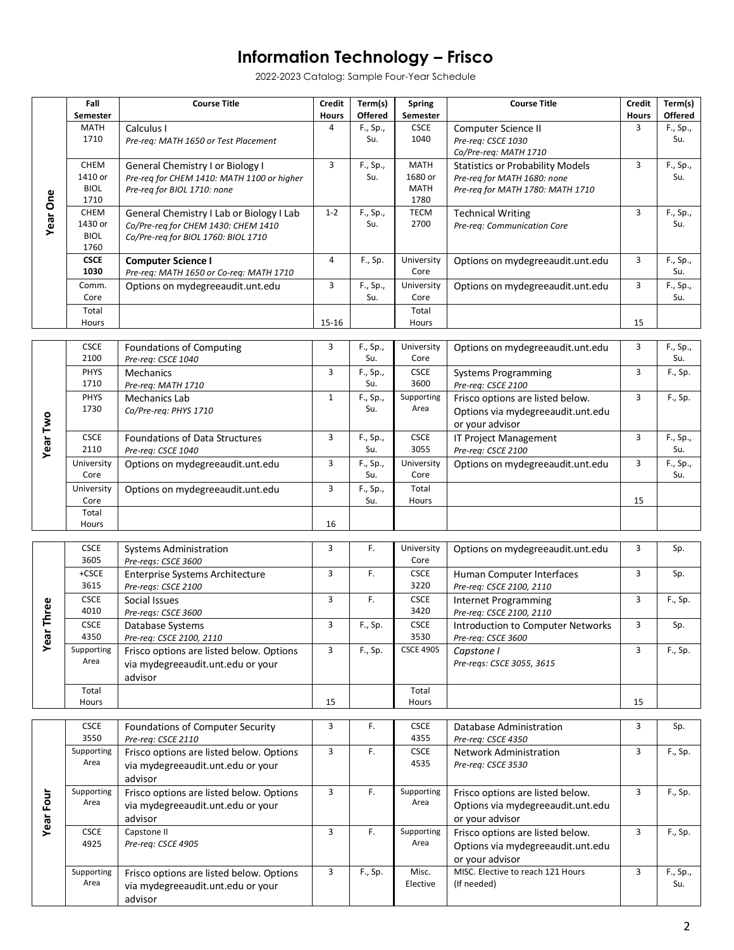## **Information Technology – Frisco**

2022-2023 Catalog: Sample Four-Year Schedule

| <b>Year One</b>  | Fall<br>Semester                       | <b>Course Title</b>                                                                                                    | <b>Credit</b><br><b>Hours</b> | Term(s)<br><b>Offered</b> | <b>Spring</b><br><b>Semester</b>              | <b>Course Title</b>                                                                                        | <b>Credit</b><br><b>Hours</b> | Term(s)<br><b>Offered</b> |
|------------------|----------------------------------------|------------------------------------------------------------------------------------------------------------------------|-------------------------------|---------------------------|-----------------------------------------------|------------------------------------------------------------------------------------------------------------|-------------------------------|---------------------------|
|                  | <b>MATH</b><br>1710                    | Calculus I<br>Pre-reg: MATH 1650 or Test Placement                                                                     | 4                             | F., Sp.,<br>Su.           | <b>CSCE</b><br>1040                           | Computer Science II<br>Pre-req: CSCE 1030<br>Co/Pre-reg: MATH 1710                                         | 3                             | F., Sp.,<br>Su.           |
|                  | CHEM<br>1410 or<br><b>BIOL</b><br>1710 | General Chemistry I or Biology I<br>Pre-reg for CHEM 1410: MATH 1100 or higher<br>Pre-reg for BIOL 1710: none          | 3                             | F., Sp.,<br>Su.           | <b>MATH</b><br>1680 or<br><b>MATH</b><br>1780 | <b>Statistics or Probability Models</b><br>Pre-reg for MATH 1680: none<br>Pre-req for MATH 1780: MATH 1710 | 3                             | F., Sp.,<br>Su.           |
|                  | CHEM<br>1430 or<br><b>BIOL</b><br>1760 | General Chemistry I Lab or Biology I Lab<br>Co/Pre-reg for CHEM 1430: CHEM 1410<br>Co/Pre-req for BIOL 1760: BIOL 1710 | $1 - 2$                       | F., Sp.,<br>Su.           | <b>TECM</b><br>2700                           | <b>Technical Writing</b><br>Pre-reg: Communication Core                                                    | 3                             | F., Sp.,<br>Su.           |
|                  | <b>CSCE</b><br>1030                    | <b>Computer Science I</b><br>Pre-req: MATH 1650 or Co-req: MATH 1710                                                   | 4                             | F., Sp.                   | University<br>Core                            | Options on mydegreeaudit.unt.edu                                                                           | 3                             | F., Sp.,<br>Su.           |
|                  | Comm.<br>Core                          | Options on mydegreeaudit.unt.edu                                                                                       | 3                             | F., Sp.,<br>Su.           | University<br>Core                            | Options on mydegreeaudit.unt.edu                                                                           | 3                             | F., Sp.,<br>Su.           |
|                  | Total<br>Hours                         |                                                                                                                        | 15-16                         |                           | Total<br>Hours                                |                                                                                                            | 15                            |                           |
| Year Two         | <b>CSCE</b><br>2100                    | Foundations of Computing<br>Pre-req: CSCE 1040                                                                         | 3                             | F., Sp.,<br>Su.           | University<br>Core                            | Options on mydegreeaudit.unt.edu                                                                           | 3                             | F., Sp.,<br>Su.           |
|                  | PHYS<br>1710                           | <b>Mechanics</b><br>Pre-reg: MATH 1710                                                                                 | 3                             | F., Sp.,<br>Su.           | <b>CSCE</b><br>3600                           | <b>Systems Programming</b><br>Pre-req: CSCE 2100                                                           | 3                             | F., Sp.                   |
|                  | <b>PHYS</b><br>1730                    | <b>Mechanics Lab</b><br>Co/Pre-reg: PHYS 1710                                                                          | $\mathbf{1}$                  | F., Sp.,<br>Su.           | Supporting<br>Area                            | Frisco options are listed below.<br>Options via mydegreeaudit.unt.edu<br>or your advisor                   | 3                             | F., Sp.                   |
|                  | <b>CSCE</b><br>2110                    | Foundations of Data Structures<br>Pre-req: CSCE 1040                                                                   | 3                             | F., Sp.,<br>Su.           | CSCE<br>3055                                  | IT Project Management<br>Pre-req: CSCE 2100                                                                | 3                             | F., Sp.,<br>Su.           |
|                  | University<br>Core                     | Options on mydegreeaudit.unt.edu                                                                                       | 3                             | F., Sp.,<br>Su.           | University<br>Core                            | Options on mydegreeaudit.unt.edu                                                                           | 3                             | F., Sp.,<br>Su.           |
|                  | University<br>Core                     | Options on mydegreeaudit.unt.edu                                                                                       | 3                             | F., Sp.,<br>Su.           | Total<br>Hours                                |                                                                                                            | 15                            |                           |
|                  | Total<br>Hours                         |                                                                                                                        | 16                            |                           |                                               |                                                                                                            |                               |                           |
|                  | <b>CSCE</b><br>3605                    | <b>Systems Administration</b><br>Pre-regs: CSCE 3600                                                                   | 3                             | F.                        | University<br>Core                            | Options on mydegreeaudit.unt.edu                                                                           | 3                             | Sp.                       |
|                  | +CSCE<br>3615                          | Enterprise Systems Architecture<br>Pre-regs: CSCE 2100                                                                 | 3                             | F.                        | <b>CSCE</b><br>3220                           | Human Computer Interfaces<br>Pre-reg: CSCE 2100, 2110                                                      | 3                             | Sp.                       |
| Three            | <b>CSCE</b><br>4010                    | Social Issues<br>Pre-reqs: CSCE 3600                                                                                   | 3                             | F.                        | <b>CSCE</b><br>3420                           | <b>Internet Programming</b><br>Pre-req: CSCE 2100, 2110                                                    | 3                             | F., Sp.                   |
| Year             | <b>CSCE</b><br>4350                    | Database Systems<br>Pre-req: CSCE 2100, 2110                                                                           | 3                             | F., Sp.                   | <b>CSCE</b><br>3530                           | <b>Introduction to Computer Networks</b><br>Pre-req: CSCE 3600                                             | 3                             | Sp.                       |
|                  | Supporting<br>Area                     | Frisco options are listed below. Options<br>via mydegreeaudit.unt.edu or your<br>advisor                               | $\overline{3}$                | F., Sp.                   | <b>CSCE 4905</b>                              | Capstone I<br>Pre-reqs: CSCE 3055, 3615                                                                    | 3                             | F., Sp.                   |
|                  | Total<br>Hours                         |                                                                                                                        | 15                            |                           | Total<br>Hours                                |                                                                                                            | 15                            |                           |
| <b>Year Four</b> | <b>CSCE</b><br>3550                    | Foundations of Computer Security<br>Pre-req: CSCE 2110                                                                 | 3                             | F.                        | <b>CSCE</b><br>4355                           | Database Administration<br>Pre-req: CSCE 4350                                                              | 3                             | Sp.                       |
|                  | Supporting<br>Area                     | Frisco options are listed below. Options<br>via mydegreeaudit.unt.edu or your<br>advisor                               | $\mathbf{3}$                  | F.                        | CSCE<br>4535                                  | Network Administration<br>Pre-req: CSCE 3530                                                               | 3                             | F., Sp.                   |
|                  | Supporting<br>Area                     | Frisco options are listed below. Options<br>via mydegreeaudit.unt.edu or your<br>advisor                               | 3                             | F.                        | Supporting<br>Area                            | Frisco options are listed below.<br>Options via mydegreeaudit.unt.edu<br>or your advisor                   | 3                             | F., Sp.                   |
|                  | <b>CSCE</b><br>4925                    | Capstone II<br>Pre-req: CSCE 4905                                                                                      | 3                             | F.                        | Supporting<br>Area                            | Frisco options are listed below.<br>Options via mydegreeaudit.unt.edu<br>or your advisor                   | 3                             | F., Sp.                   |
|                  | Supporting<br>Area                     | Frisco options are listed below. Options<br>via mydegreeaudit.unt.edu or your<br>advisor                               | 3                             | F., Sp.                   | Misc.<br>Elective                             | MISC. Elective to reach 121 Hours<br>(If needed)                                                           | 3                             | F., Sp.,<br>Su.           |